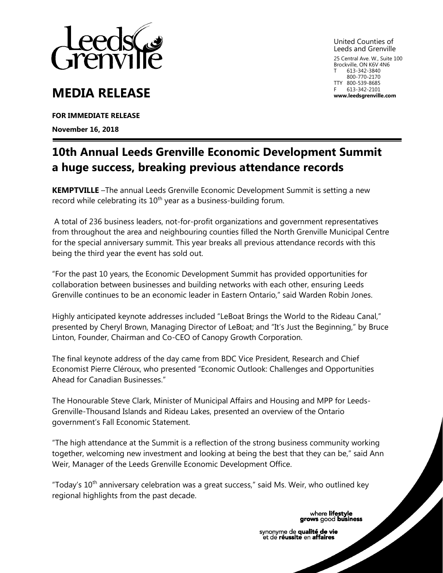

## **MEDIA RELEASE**

**FOR IMMEDIATE RELEASE** 

**November 16, 2018**

United Counties of Leeds and Grenville 25 Central Ave. W., Suite 100

Brockville, ON K6V 4N6 613-342-3840 800-770-2170 TTY 800-539-8685 613-342-2101 **www.leedsgrenville.com**

## **10th Annual Leeds Grenville Economic Development Summit a huge success, breaking previous attendance records**

**KEMPTVILLE** –The annual Leeds Grenville Economic Development Summit is setting a new record while celebrating its  $10<sup>th</sup>$  year as a business-building forum.

A total of 236 business leaders, not-for-profit organizations and government representatives from throughout the area and neighbouring counties filled the North Grenville Municipal Centre for the special anniversary summit. This year breaks all previous attendance records with this being the third year the event has sold out.

"For the past 10 years, the Economic Development Summit has provided opportunities for collaboration between businesses and building networks with each other, ensuring Leeds Grenville continues to be an economic leader in Eastern Ontario," said Warden Robin Jones.

Highly anticipated keynote addresses included "LeBoat Brings the World to the Rideau Canal," presented by Cheryl Brown, Managing Director of LeBoat; and "It's Just the Beginning," by Bruce Linton, Founder, Chairman and Co-CEO of Canopy Growth Corporation.

The final keynote address of the day came from BDC Vice President, Research and Chief Economist Pierre Cléroux, who presented "Economic Outlook: Challenges and Opportunities Ahead for Canadian Businesses."

The Honourable Steve Clark, Minister of Municipal Affairs and Housing and MPP for Leeds-Grenville-Thousand Islands and Rideau Lakes, presented an overview of the Ontario government's Fall Economic Statement.

"The high attendance at the Summit is a reflection of the strong business community working together, welcoming new investment and looking at being the best that they can be," said Ann Weir, Manager of the Leeds Grenville Economic Development Office.

"Today's 10<sup>th</sup> anniversary celebration was a great success," said Ms. Weir, who outlined key regional highlights from the past decade.

where lifestyle<br>grows good business

synonyme de qualité de vie et de réussite en affaires